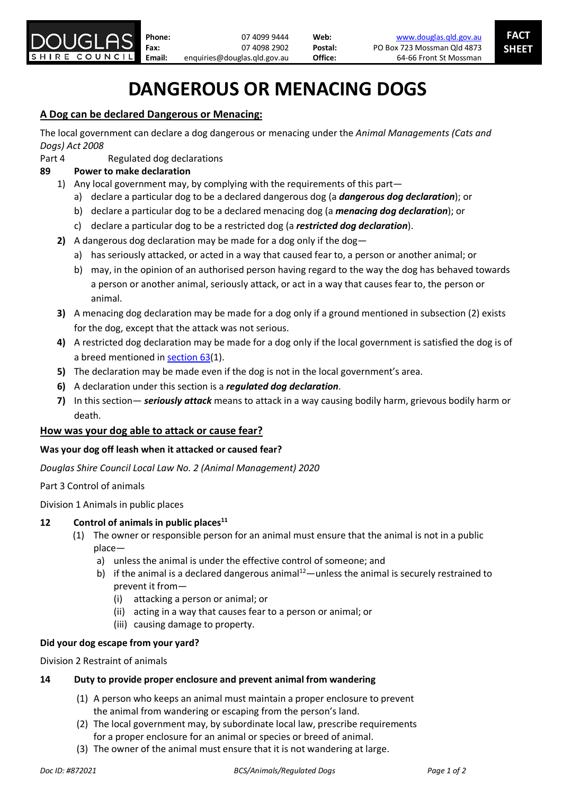

# **DANGEROUS OR MENACING DOGS**

# **A Dog can be declared Dangerous or Menacing:**

The local government can declare a dog dangerous or menacing under the *Animal Managements (Cats and Dogs) Act 2008* 

Part 4 Regulated dog declarations

# **89 Power to make declaration**

- 1) Any local government may, by complying with the requirements of this part
	- a) declare a particular dog to be a declared dangerous dog (a *dangerous dog declaration*); or
	- b) declare a particular dog to be a declared menacing dog (a *menacing dog declaration*); or
	- c) declare a particular dog to be a restricted dog (a *restricted dog declaration*).
- **2)** A dangerous dog declaration may be made for a dog only if the dog
	- a) has seriously attacked, or acted in a way that caused fear to, a person or another animal; or
	- b) may, in the opinion of an authorised person having regard to the way the dog has behaved towards a person or another animal, seriously attack, or act in a way that causes fear to, the person or animal.
- **3)** A menacing dog declaration may be made for a dog only if a ground mentioned in subsection (2) exists for the dog, except that the attack was not serious.
- **4)** A restricted dog declaration may be made for a dog only if the local government is satisfied the dog is of a breed mentioned in [section](https://www.legislation.qld.gov.au/view/html/inforce/current/act-2008-074#sec.63) 63(1).
- **5)** The declaration may be made even if the dog is not in the local government's area.
- **6)** A declaration under this section is a *regulated dog declaration*.
- **7)** In this section— *seriously attack* means to attack in a way causing bodily harm, grievous bodily harm or death.

# **How was your dog able to attack or cause fear?**

## **Was your dog off leash when it attacked or caused fear?**

*Douglas Shire Council Local Law No. 2 (Animal Management) 2020*

Part 3 Control of animals

Division 1 Animals in public places

# 12 **Control of animals in public places**<sup>11</sup>

- (1) The owner or responsible person for an animal must ensure that the animal is not in a public place
	- a) unless the animal is under the effective control of someone; and
	- b) if the animal is a declared dangerous animal<sup>12</sup>—unless the animal is securely restrained to prevent it from—
		- (i) attacking a person or animal; or
		- (ii) acting in a way that causes fear to a person or animal; or
		- (iii) causing damage to property.

## **Did your dog escape from your yard?**

Division 2 Restraint of animals

# **14 Duty to provide proper enclosure and prevent animal from wandering**

- (1) A person who keeps an animal must maintain a proper enclosure to prevent the animal from wandering or escaping from the person's land.
- (2) The local government may, by subordinate local law, prescribe requirements for a proper enclosure for an animal or species or breed of animal.
- (3) The owner of the animal must ensure that it is not wandering at large.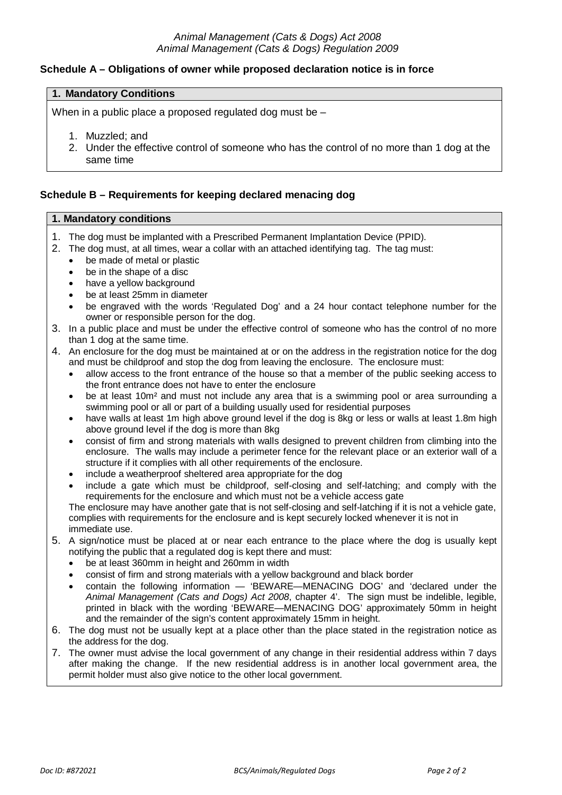## *Animal Management (Cats & Dogs) Act 2008 Animal Management (Cats & Dogs) Regulation 2009*

## **Schedule A – Obligations of owner while proposed declaration notice is in force**

### **1. Mandatory Conditions**

When in a public place a proposed regulated dog must be -

- 1. Muzzled; and
- 2. Under the effective control of someone who has the control of no more than 1 dog at the same time

### **Schedule B – Requirements for keeping declared menacing dog**

#### **1. Mandatory conditions**

- 1. The dog must be implanted with a Prescribed Permanent Implantation Device (PPID).
- 2. The dog must, at all times, wear a collar with an attached identifying tag. The tag must:
	- be made of metal or plastic
	- be in the shape of a disc
	- have a yellow background
	- be at least 25mm in diameter
	- be engraved with the words 'Regulated Dog' and a 24 hour contact telephone number for the owner or responsible person for the dog.
- 3. In a public place and must be under the effective control of someone who has the control of no more than 1 dog at the same time.
- 4. An enclosure for the dog must be maintained at or on the address in the registration notice for the dog and must be childproof and stop the dog from leaving the enclosure. The enclosure must:
	- allow access to the front entrance of the house so that a member of the public seeking access to the front entrance does not have to enter the enclosure
	- be at least 10m<sup>2</sup> and must not include any area that is a swimming pool or area surrounding a swimming pool or all or part of a building usually used for residential purposes
	- have walls at least 1m high above ground level if the dog is 8kg or less or walls at least 1.8m high above ground level if the dog is more than 8kg
	- consist of firm and strong materials with walls designed to prevent children from climbing into the enclosure. The walls may include a perimeter fence for the relevant place or an exterior wall of a structure if it complies with all other requirements of the enclosure.
	- include a weatherproof sheltered area appropriate for the dog
	- include a gate which must be childproof, self-closing and self-latching; and comply with the requirements for the enclosure and which must not be a vehicle access gate

The enclosure may have another gate that is not self-closing and self-latching if it is not a vehicle gate, complies with requirements for the enclosure and is kept securely locked whenever it is not in immediate use.

- 5. A sign/notice must be placed at or near each entrance to the place where the dog is usually kept notifying the public that a regulated dog is kept there and must:
	- be at least 360mm in height and 260mm in width
	- consist of firm and strong materials with a yellow background and black border
	- contain the following information 'BEWARE—MENACING DOG' and 'declared under the *Animal Management (Cats and Dogs) Act 2008*, chapter 4'. The sign must be indelible, legible, printed in black with the wording 'BEWARE—MENACING DOG' approximately 50mm in height and the remainder of the sign's content approximately 15mm in height.
- 6. The dog must not be usually kept at a place other than the place stated in the registration notice as the address for the dog.
- 7. The owner must advise the local government of any change in their residential address within 7 days after making the change. If the new residential address is in another local government area, the permit holder must also give notice to the other local government.